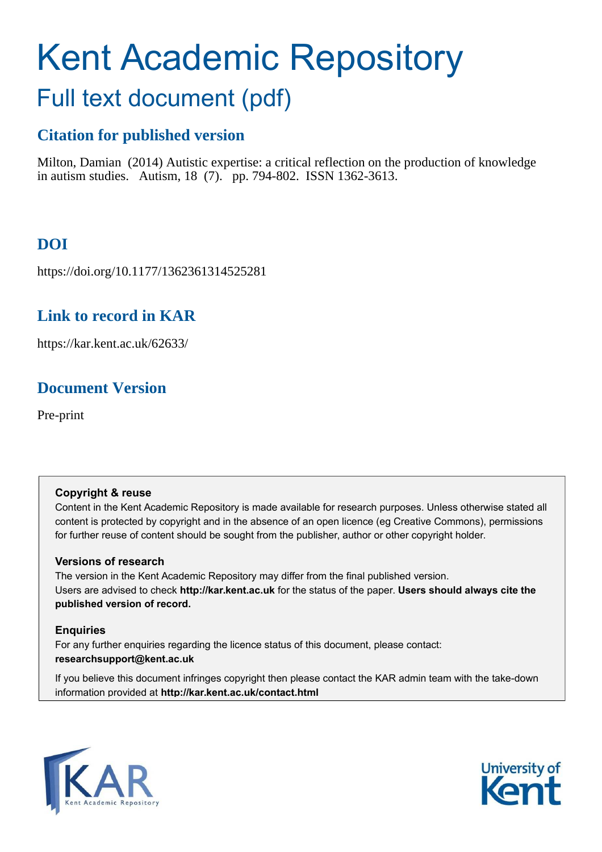# Kent Academic Repository Full text document (pdf)

# **Citation for published version**

Milton, Damian (2014) Autistic expertise: a critical reflection on the production of knowledge in autism studies. Autism, 18 (7). pp. 794-802. ISSN 1362-3613.

# **DOI**

https://doi.org/10.1177/1362361314525281

## **Link to record in KAR**

https://kar.kent.ac.uk/62633/

# **Document Version**

Pre-print

### **Copyright & reuse**

Content in the Kent Academic Repository is made available for research purposes. Unless otherwise stated all content is protected by copyright and in the absence of an open licence (eg Creative Commons), permissions for further reuse of content should be sought from the publisher, author or other copyright holder.

### **Versions of research**

The version in the Kent Academic Repository may differ from the final published version. Users are advised to check **http://kar.kent.ac.uk** for the status of the paper. **Users should always cite the published version of record.**

### **Enquiries**

For any further enquiries regarding the licence status of this document, please contact: **researchsupport@kent.ac.uk**

If you believe this document infringes copyright then please contact the KAR admin team with the take-down information provided at **http://kar.kent.ac.uk/contact.html**



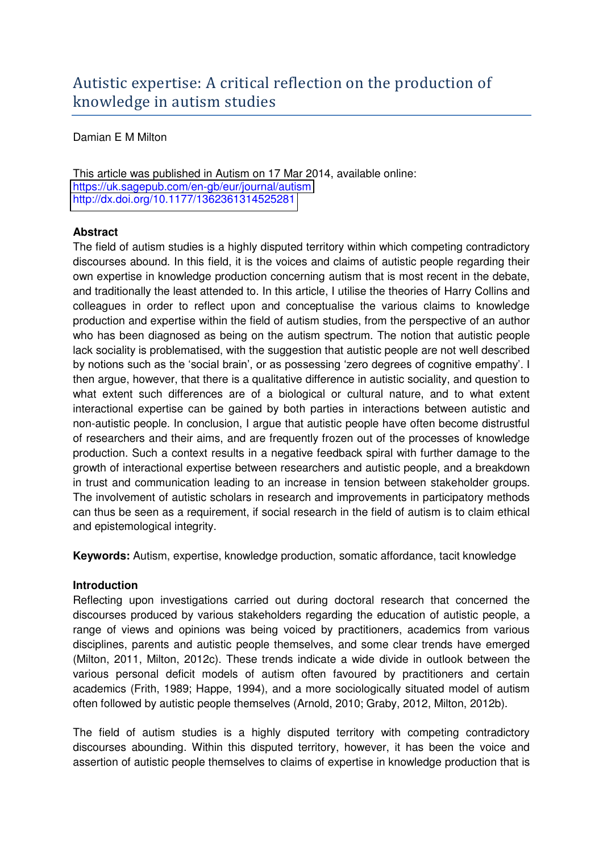#### Damian E M Milton

This article was published in Autism on 17 Mar 2014, available online: <https://uk.sagepub.com/en-gb/eur/journal/autism> <http://dx.doi.org/10.1177/1362361314525281>

#### **Abstract**

The field of autism studies is a highly disputed territory within which competing contradictory discourses abound. In this field, it is the voices and claims of autistic people regarding their own expertise in knowledge production concerning autism that is most recent in the debate, and traditionally the least attended to. In this article, I utilise the theories of Harry Collins and colleagues in order to reflect upon and conceptualise the various claims to knowledge production and expertise within the field of autism studies, from the perspective of an author who has been diagnosed as being on the autism spectrum. The notion that autistic people lack sociality is problematised, with the suggestion that autistic people are not well described by notions such as the 'social brain', or as possessing 'zero degrees of cognitive empathy'. I then argue, however, that there is a qualitative difference in autistic sociality, and question to what extent such differences are of a biological or cultural nature, and to what extent interactional expertise can be gained by both parties in interactions between autistic and non-autistic people. In conclusion, I argue that autistic people have often become distrustful of researchers and their aims, and are frequently frozen out of the processes of knowledge production. Such a context results in a negative feedback spiral with further damage to the growth of interactional expertise between researchers and autistic people, and a breakdown in trust and communication leading to an increase in tension between stakeholder groups. The involvement of autistic scholars in research and improvements in participatory methods can thus be seen as a requirement, if social research in the field of autism is to claim ethical and epistemological integrity.

**Keywords:** Autism, expertise, knowledge production, somatic affordance, tacit knowledge

### **Introduction**

Reflecting upon investigations carried out during doctoral research that concerned the discourses produced by various stakeholders regarding the education of autistic people, a range of views and opinions was being voiced by practitioners, academics from various disciplines, parents and autistic people themselves, and some clear trends have emerged (Milton, 2011, Milton, 2012c). These trends indicate a wide divide in outlook between the various personal deficit models of autism often favoured by practitioners and certain academics (Frith, 1989; Happe, 1994), and a more sociologically situated model of autism often followed by autistic people themselves (Arnold, 2010; Graby, 2012, Milton, 2012b).

The field of autism studies is a highly disputed territory with competing contradictory discourses abounding. Within this disputed territory, however, it has been the voice and assertion of autistic people themselves to claims of expertise in knowledge production that is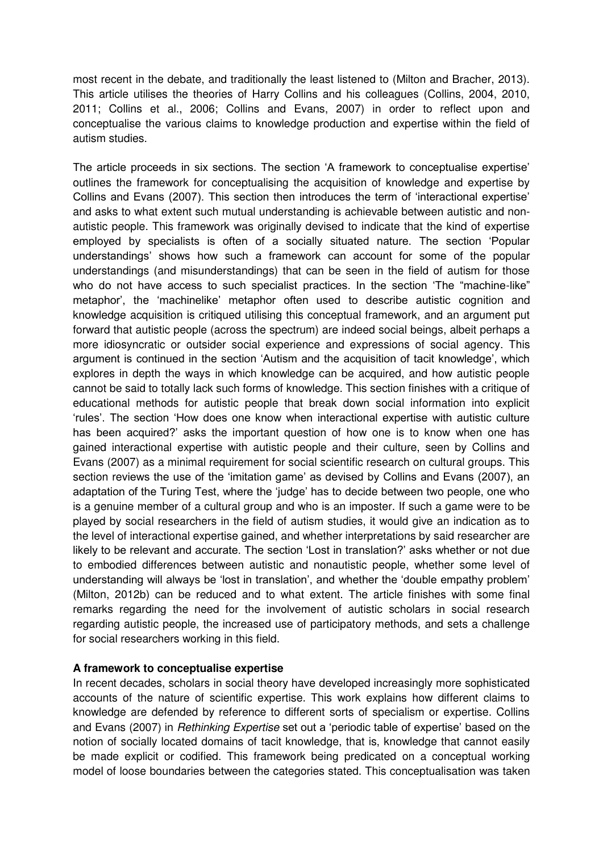most recent in the debate, and traditionally the least listened to (Milton and Bracher, 2013). This article utilises the theories of Harry Collins and his colleagues (Collins, 2004, 2010, 2011; Collins et al., 2006; Collins and Evans, 2007) in order to reflect upon and conceptualise the various claims to knowledge production and expertise within the field of autism studies.

The article proceeds in six sections. The section 'A framework to conceptualise expertise' outlines the framework for conceptualising the acquisition of knowledge and expertise by Collins and Evans (2007). This section then introduces the term of 'interactional expertise' and asks to what extent such mutual understanding is achievable between autistic and nonautistic people. This framework was originally devised to indicate that the kind of expertise employed by specialists is often of a socially situated nature. The section 'Popular understandings' shows how such a framework can account for some of the popular understandings (and misunderstandings) that can be seen in the field of autism for those who do not have access to such specialist practices. In the section 'The "machine-like" metaphor', the 'machinelike' metaphor often used to describe autistic cognition and knowledge acquisition is critiqued utilising this conceptual framework, and an argument put forward that autistic people (across the spectrum) are indeed social beings, albeit perhaps a more idiosyncratic or outsider social experience and expressions of social agency. This argument is continued in the section 'Autism and the acquisition of tacit knowledge', which explores in depth the ways in which knowledge can be acquired, and how autistic people cannot be said to totally lack such forms of knowledge. This section finishes with a critique of educational methods for autistic people that break down social information into explicit 'rules'. The section 'How does one know when interactional expertise with autistic culture has been acquired?' asks the important question of how one is to know when one has gained interactional expertise with autistic people and their culture, seen by Collins and Evans (2007) as a minimal requirement for social scientific research on cultural groups. This section reviews the use of the 'imitation game' as devised by Collins and Evans (2007), an adaptation of the Turing Test, where the 'judge' has to decide between two people, one who is a genuine member of a cultural group and who is an imposter. If such a game were to be played by social researchers in the field of autism studies, it would give an indication as to the level of interactional expertise gained, and whether interpretations by said researcher are likely to be relevant and accurate. The section 'Lost in translation?' asks whether or not due to embodied differences between autistic and nonautistic people, whether some level of understanding will always be 'lost in translation', and whether the 'double empathy problem' (Milton, 2012b) can be reduced and to what extent. The article finishes with some final remarks regarding the need for the involvement of autistic scholars in social research regarding autistic people, the increased use of participatory methods, and sets a challenge for social researchers working in this field.

#### **A framework to conceptualise expertise**

In recent decades, scholars in social theory have developed increasingly more sophisticated accounts of the nature of scientific expertise. This work explains how different claims to knowledge are defended by reference to different sorts of specialism or expertise. Collins and Evans (2007) in *Rethinking Expertise* set out a 'periodic table of expertise' based on the notion of socially located domains of tacit knowledge, that is, knowledge that cannot easily be made explicit or codified. This framework being predicated on a conceptual working model of loose boundaries between the categories stated. This conceptualisation was taken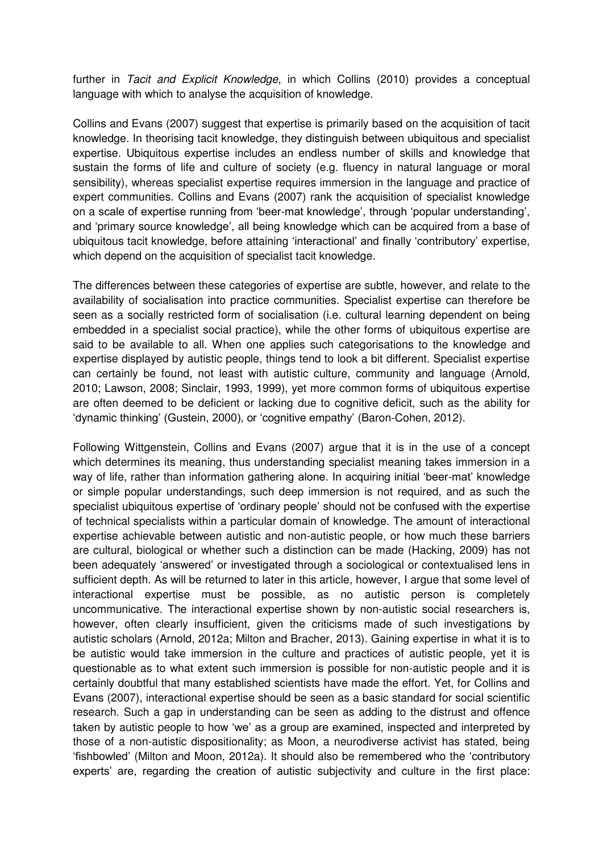further in *Tacit and Explicit Knowledge*, in which Collins (2010) provides a conceptual language with which to analyse the acquisition of knowledge.

Collins and Evans (2007) suggest that expertise is primarily based on the acquisition of tacit knowledge. In theorising tacit knowledge, they distinguish between ubiquitous and specialist expertise. Ubiquitous expertise includes an endless number of skills and knowledge that sustain the forms of life and culture of society (e.g. fluency in natural language or moral sensibility), whereas specialist expertise requires immersion in the language and practice of expert communities. Collins and Evans (2007) rank the acquisition of specialist knowledge on a scale of expertise running from 'beer-mat knowledge', through 'popular understanding', and 'primary source knowledge', all being knowledge which can be acquired from a base of ubiquitous tacit knowledge, before attaining 'interactional' and finally 'contributory' expertise, which depend on the acquisition of specialist tacit knowledge.

The differences between these categories of expertise are subtle, however, and relate to the availability of socialisation into practice communities. Specialist expertise can therefore be seen as a socially restricted form of socialisation (i.e. cultural learning dependent on being embedded in a specialist social practice), while the other forms of ubiquitous expertise are said to be available to all. When one applies such categorisations to the knowledge and expertise displayed by autistic people, things tend to look a bit different. Specialist expertise can certainly be found, not least with autistic culture, community and language (Arnold, 2010; Lawson, 2008; Sinclair, 1993, 1999), yet more common forms of ubiquitous expertise are often deemed to be deficient or lacking due to cognitive deficit, such as the ability for 'dynamic thinking' (Gustein, 2000), or 'cognitive empathy' (Baron-Cohen, 2012).

Following Wittgenstein, Collins and Evans (2007) argue that it is in the use of a concept which determines its meaning, thus understanding specialist meaning takes immersion in a way of life, rather than information gathering alone. In acquiring initial 'beer-mat' knowledge or simple popular understandings, such deep immersion is not required, and as such the specialist ubiquitous expertise of 'ordinary people' should not be confused with the expertise of technical specialists within a particular domain of knowledge. The amount of interactional expertise achievable between autistic and non-autistic people, or how much these barriers are cultural, biological or whether such a distinction can be made (Hacking, 2009) has not been adequately 'answered' or investigated through a sociological or contextualised lens in sufficient depth. As will be returned to later in this article, however, I argue that some level of interactional expertise must be possible, as no autistic person is completely uncommunicative. The interactional expertise shown by non-autistic social researchers is, however, often clearly insufficient, given the criticisms made of such investigations by autistic scholars (Arnold, 2012a; Milton and Bracher, 2013). Gaining expertise in what it is to be autistic would take immersion in the culture and practices of autistic people, yet it is questionable as to what extent such immersion is possible for non-autistic people and it is certainly doubtful that many established scientists have made the effort. Yet, for Collins and Evans (2007), interactional expertise should be seen as a basic standard for social scientific research. Such a gap in understanding can be seen as adding to the distrust and offence taken by autistic people to how 'we' as a group are examined, inspected and interpreted by those of a non-autistic dispositionality; as Moon, a neurodiverse activist has stated, being 'fishbowled' (Milton and Moon, 2012a). It should also be remembered who the 'contributory experts' are, regarding the creation of autistic subjectivity and culture in the first place: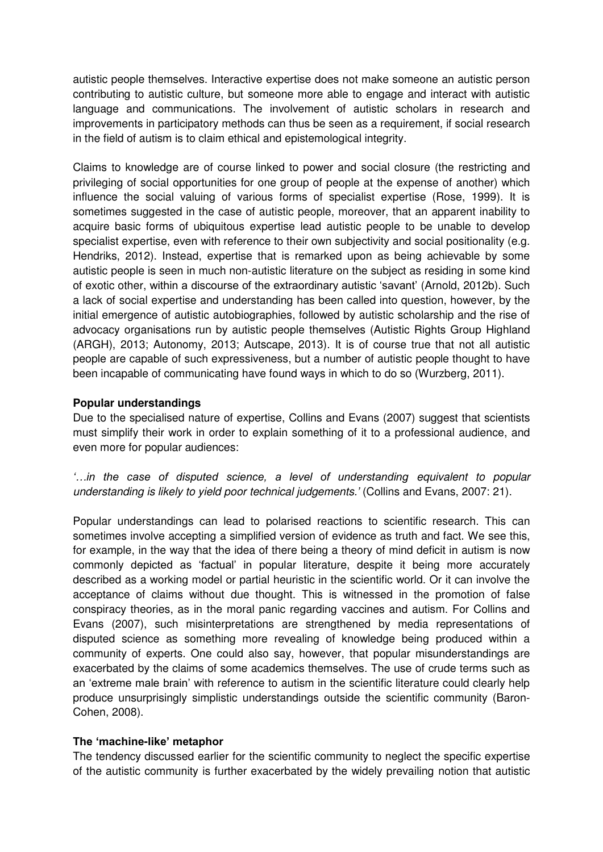autistic people themselves. Interactive expertise does not make someone an autistic person contributing to autistic culture, but someone more able to engage and interact with autistic language and communications. The involvement of autistic scholars in research and improvements in participatory methods can thus be seen as a requirement, if social research in the field of autism is to claim ethical and epistemological integrity.

Claims to knowledge are of course linked to power and social closure (the restricting and privileging of social opportunities for one group of people at the expense of another) which influence the social valuing of various forms of specialist expertise (Rose, 1999). It is sometimes suggested in the case of autistic people, moreover, that an apparent inability to acquire basic forms of ubiquitous expertise lead autistic people to be unable to develop specialist expertise, even with reference to their own subjectivity and social positionality (e.g. Hendriks, 2012). Instead, expertise that is remarked upon as being achievable by some autistic people is seen in much non-autistic literature on the subject as residing in some kind of exotic other, within a discourse of the extraordinary autistic 'savant' (Arnold, 2012b). Such a lack of social expertise and understanding has been called into question, however, by the initial emergence of autistic autobiographies, followed by autistic scholarship and the rise of advocacy organisations run by autistic people themselves (Autistic Rights Group Highland (ARGH), 2013; Autonomy, 2013; Autscape, 2013). It is of course true that not all autistic people are capable of such expressiveness, but a number of autistic people thought to have been incapable of communicating have found ways in which to do so (Wurzberg, 2011).

#### **Popular understandings**

Due to the specialised nature of expertise, Collins and Evans (2007) suggest that scientists must simplify their work in order to explain something of it to a professional audience, and even more for popular audiences:

*'…in the case of disputed science, a level of understanding equivalent to popular understanding is likely to yield poor technical judgements.*<sup>'</sup> (Collins and Evans, 2007: 21).

Popular understandings can lead to polarised reactions to scientific research. This can sometimes involve accepting a simplified version of evidence as truth and fact. We see this, for example, in the way that the idea of there being a theory of mind deficit in autism is now commonly depicted as 'factual' in popular literature, despite it being more accurately described as a working model or partial heuristic in the scientific world. Or it can involve the acceptance of claims without due thought. This is witnessed in the promotion of false conspiracy theories, as in the moral panic regarding vaccines and autism. For Collins and Evans (2007), such misinterpretations are strengthened by media representations of disputed science as something more revealing of knowledge being produced within a community of experts. One could also say, however, that popular misunderstandings are exacerbated by the claims of some academics themselves. The use of crude terms such as an 'extreme male brain' with reference to autism in the scientific literature could clearly help produce unsurprisingly simplistic understandings outside the scientific community (Baron-Cohen, 2008).

#### **The 'machine-like' metaphor**

The tendency discussed earlier for the scientific community to neglect the specific expertise of the autistic community is further exacerbated by the widely prevailing notion that autistic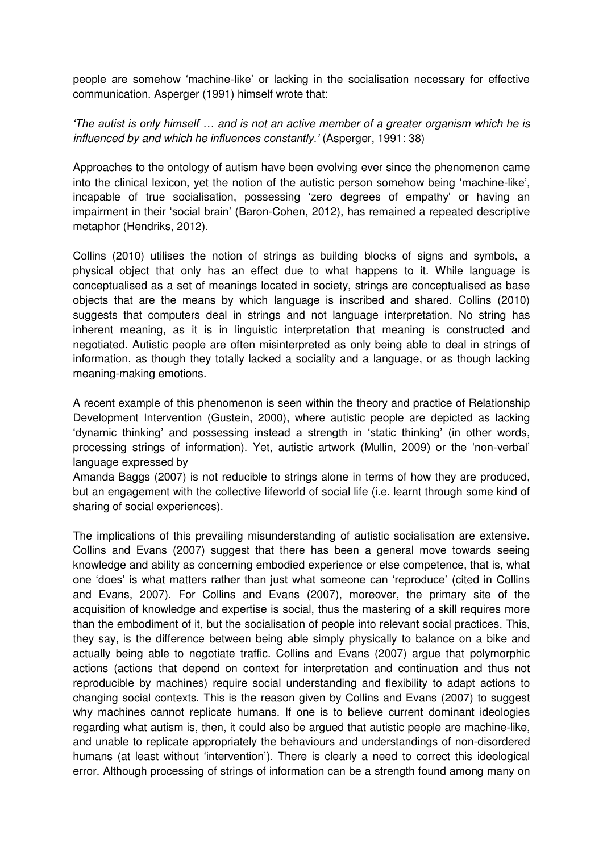people are somehow 'machine-like' or lacking in the socialisation necessary for effective communication. Asperger (1991) himself wrote that:

*'The autist is only himself … and is not an active member of a greater organism which he is influenced by and which he influences constantly.'* (Asperger, 1991: 38)

Approaches to the ontology of autism have been evolving ever since the phenomenon came into the clinical lexicon, yet the notion of the autistic person somehow being 'machine-like', incapable of true socialisation, possessing 'zero degrees of empathy' or having an impairment in their 'social brain' (Baron-Cohen, 2012), has remained a repeated descriptive metaphor (Hendriks, 2012).

Collins (2010) utilises the notion of strings as building blocks of signs and symbols, a physical object that only has an effect due to what happens to it. While language is conceptualised as a set of meanings located in society, strings are conceptualised as base objects that are the means by which language is inscribed and shared. Collins (2010) suggests that computers deal in strings and not language interpretation. No string has inherent meaning, as it is in linguistic interpretation that meaning is constructed and negotiated. Autistic people are often misinterpreted as only being able to deal in strings of information, as though they totally lacked a sociality and a language, or as though lacking meaning-making emotions.

A recent example of this phenomenon is seen within the theory and practice of Relationship Development Intervention (Gustein, 2000), where autistic people are depicted as lacking 'dynamic thinking' and possessing instead a strength in 'static thinking' (in other words, processing strings of information). Yet, autistic artwork (Mullin, 2009) or the 'non-verbal' language expressed by

Amanda Baggs (2007) is not reducible to strings alone in terms of how they are produced, but an engagement with the collective lifeworld of social life (i.e. learnt through some kind of sharing of social experiences).

The implications of this prevailing misunderstanding of autistic socialisation are extensive. Collins and Evans (2007) suggest that there has been a general move towards seeing knowledge and ability as concerning embodied experience or else competence, that is, what one 'does' is what matters rather than just what someone can 'reproduce' (cited in Collins and Evans, 2007). For Collins and Evans (2007), moreover, the primary site of the acquisition of knowledge and expertise is social, thus the mastering of a skill requires more than the embodiment of it, but the socialisation of people into relevant social practices. This, they say, is the difference between being able simply physically to balance on a bike and actually being able to negotiate traffic. Collins and Evans (2007) argue that polymorphic actions (actions that depend on context for interpretation and continuation and thus not reproducible by machines) require social understanding and flexibility to adapt actions to changing social contexts. This is the reason given by Collins and Evans (2007) to suggest why machines cannot replicate humans. If one is to believe current dominant ideologies regarding what autism is, then, it could also be argued that autistic people are machine-like, and unable to replicate appropriately the behaviours and understandings of non-disordered humans (at least without 'intervention'). There is clearly a need to correct this ideological error. Although processing of strings of information can be a strength found among many on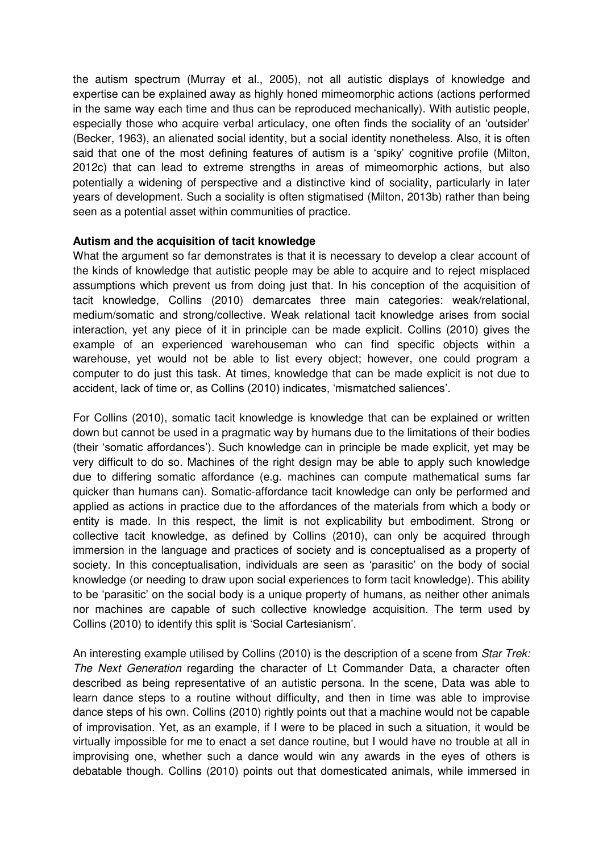the autism spectrum (Murray et al., 2005), not all autistic displays of knowledge and expertise can be explained away as highly honed mimeomorphic actions (actions performed in the same way each time and thus can be reproduced mechanically). With autistic people, especially those who acquire verbal articulacy, one often finds the sociality of an 'outsider' (Becker, 1963), an alienated social identity, but a social identity nonetheless. Also, it is often said that one of the most defining features of autism is a 'spiky' cognitive profile (Milton, 2012c) that can lead to extreme strengths in areas of mimeomorphic actions, but also potentially a widening of perspective and a distinctive kind of sociality, particularly in later years of development. Such a sociality is often stigmatised (Milton, 2013b) rather than being seen as a potential asset within communities of practice.

#### **Autism and the acquisition of tacit knowledge**

What the argument so far demonstrates is that it is necessary to develop a clear account of the kinds of knowledge that autistic people may be able to acquire and to reject misplaced assumptions which prevent us from doing just that. In his conception of the acquisition of tacit knowledge, Collins (2010) demarcates three main categories: weak/relational, medium/somatic and strong/collective. Weak relational tacit knowledge arises from social interaction, yet any piece of it in principle can be made explicit. Collins (2010) gives the example of an experienced warehouseman who can find specific objects within a warehouse, yet would not be able to list every object; however, one could program a computer to do just this task. At times, knowledge that can be made explicit is not due to accident, lack of time or, as Collins (2010) indicates, 'mismatched saliences'.

For Collins (2010), somatic tacit knowledge is knowledge that can be explained or written down but cannot be used in a pragmatic way by humans due to the limitations of their bodies (their 'somatic affordances'). Such knowledge can in principle be made explicit, yet may be very difficult to do so. Machines of the right design may be able to apply such knowledge due to differing somatic affordance (e.g. machines can compute mathematical sums far quicker than humans can). Somatic-affordance tacit knowledge can only be performed and applied as actions in practice due to the affordances of the materials from which a body or entity is made. In this respect, the limit is not explicability but embodiment. Strong or collective tacit knowledge, as defined by Collins (2010), can only be acquired through immersion in the language and practices of society and is conceptualised as a property of society. In this conceptualisation, individuals are seen as 'parasitic' on the body of social knowledge (or needing to draw upon social experiences to form tacit knowledge). This ability to be 'parasitic' on the social body is a unique property of humans, as neither other animals nor machines are capable of such collective knowledge acquisition. The term used by Collins (2010) to identify this split is 'Social Cartesianism'.

An interesting example utilised by Collins (2010) is the description of a scene from *Star Trek: The Next Generation* regarding the character of Lt Commander Data, a character often described as being representative of an autistic persona. In the scene, Data was able to learn dance steps to a routine without difficulty, and then in time was able to improvise dance steps of his own. Collins (2010) rightly points out that a machine would not be capable of improvisation. Yet, as an example, if I were to be placed in such a situation, it would be virtually impossible for me to enact a set dance routine, but I would have no trouble at all in improvising one, whether such a dance would win any awards in the eyes of others is debatable though. Collins (2010) points out that domesticated animals, while immersed in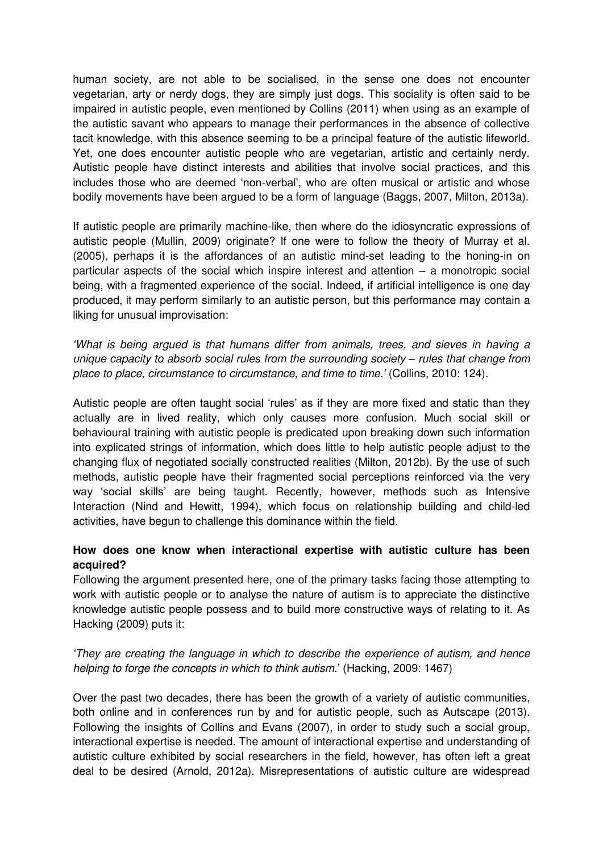human society, are not able to be socialised, in the sense one does not encounter vegetarian, arty or nerdy dogs, they are simply just dogs. This sociality is often said to be impaired in autistic people, even mentioned by Collins (2011) when using as an example of the autistic savant who appears to manage their performances in the absence of collective tacit knowledge, with this absence seeming to be a principal feature of the autistic lifeworld. Yet, one does encounter autistic people who are vegetarian, artistic and certainly nerdy. Autistic people have distinct interests and abilities that involve social practices, and this includes those who are deemed 'non-verbal', who are often musical or artistic and whose bodily movements have been argued to be a form of language (Baggs, 2007, Milton, 2013a).

If autistic people are primarily machine-like, then where do the idiosyncratic expressions of autistic people (Mullin, 2009) originate? If one were to follow the theory of Murray et al. (2005), perhaps it is the affordances of an autistic mind-set leading to the honing-in on particular aspects of the social which inspire interest and attention – a monotropic social being, with a fragmented experience of the social. Indeed, if artificial intelligence is one day produced, it may perform similarly to an autistic person, but this performance may contain a liking for unusual improvisation:

*'What is being argued is that humans differ from animals, trees, and sieves in having a unique capacity to absorb social rules from the surrounding society – rules that change from place to place, circumstance to circumstance, and time to time.'* (Collins, 2010: 124).

Autistic people are often taught social 'rules' as if they are more fixed and static than they actually are in lived reality, which only causes more confusion. Much social skill or behavioural training with autistic people is predicated upon breaking down such information into explicated strings of information, which does little to help autistic people adjust to the changing flux of negotiated socially constructed realities (Milton, 2012b). By the use of such methods, autistic people have their fragmented social perceptions reinforced via the very way 'social skills' are being taught. Recently, however, methods such as Intensive Interaction (Nind and Hewitt, 1994), which focus on relationship building and child-led activities, have begun to challenge this dominance within the field.

### **How does one know when interactional expertise with autistic culture has been acquired?**

Following the argument presented here, one of the primary tasks facing those attempting to work with autistic people or to analyse the nature of autism is to appreciate the distinctive knowledge autistic people possess and to build more constructive ways of relating to it. As Hacking (2009) puts it:

#### *'They are creating the language in which to describe the experience of autism, and hence helping to forge the concepts in which to think autism.*' (Hacking, 2009: 1467)

Over the past two decades, there has been the growth of a variety of autistic communities, both online and in conferences run by and for autistic people, such as Autscape (2013). Following the insights of Collins and Evans (2007), in order to study such a social group, interactional expertise is needed. The amount of interactional expertise and understanding of autistic culture exhibited by social researchers in the field, however, has often left a great deal to be desired (Arnold, 2012a). Misrepresentations of autistic culture are widespread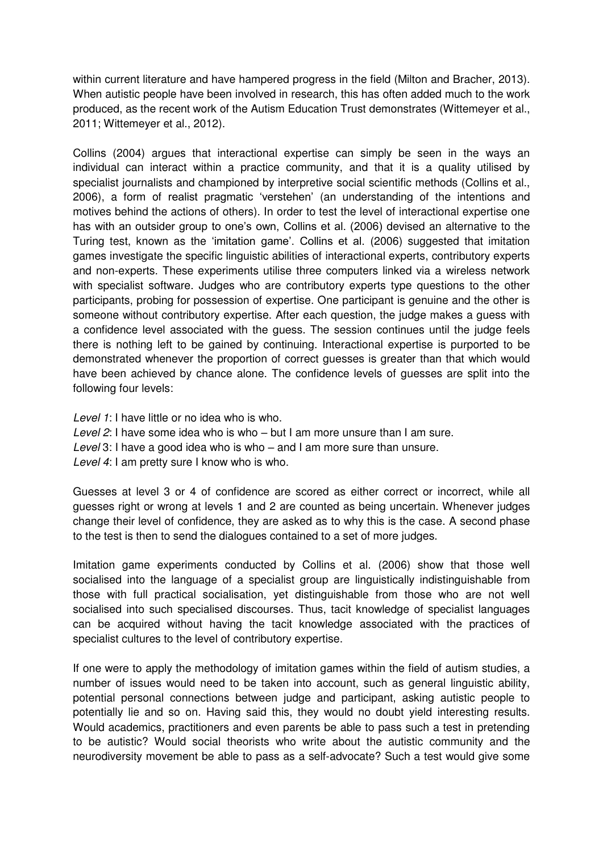within current literature and have hampered progress in the field (Milton and Bracher, 2013). When autistic people have been involved in research, this has often added much to the work produced, as the recent work of the Autism Education Trust demonstrates (Wittemeyer et al., 2011; Wittemeyer et al., 2012).

Collins (2004) argues that interactional expertise can simply be seen in the ways an individual can interact within a practice community, and that it is a quality utilised by specialist journalists and championed by interpretive social scientific methods (Collins et al., 2006), a form of realist pragmatic 'verstehen' (an understanding of the intentions and motives behind the actions of others). In order to test the level of interactional expertise one has with an outsider group to one's own, Collins et al. (2006) devised an alternative to the Turing test, known as the 'imitation game'. Collins et al. (2006) suggested that imitation games investigate the specific linguistic abilities of interactional experts, contributory experts and non-experts. These experiments utilise three computers linked via a wireless network with specialist software. Judges who are contributory experts type questions to the other participants, probing for possession of expertise. One participant is genuine and the other is someone without contributory expertise. After each question, the judge makes a guess with a confidence level associated with the guess. The session continues until the judge feels there is nothing left to be gained by continuing. Interactional expertise is purported to be demonstrated whenever the proportion of correct guesses is greater than that which would have been achieved by chance alone. The confidence levels of guesses are split into the following four levels:

*Level 1*: I have little or no idea who is who.

*Level 2*: I have some idea who is who – but I am more unsure than I am sure. *Level* 3: I have a good idea who is who – and I am more sure than unsure.

*Level 4*: I am pretty sure I know who is who.

Guesses at level 3 or 4 of confidence are scored as either correct or incorrect, while all guesses right or wrong at levels 1 and 2 are counted as being uncertain. Whenever judges change their level of confidence, they are asked as to why this is the case. A second phase to the test is then to send the dialogues contained to a set of more judges.

Imitation game experiments conducted by Collins et al. (2006) show that those well socialised into the language of a specialist group are linguistically indistinguishable from those with full practical socialisation, yet distinguishable from those who are not well socialised into such specialised discourses. Thus, tacit knowledge of specialist languages can be acquired without having the tacit knowledge associated with the practices of specialist cultures to the level of contributory expertise.

If one were to apply the methodology of imitation games within the field of autism studies, a number of issues would need to be taken into account, such as general linguistic ability, potential personal connections between judge and participant, asking autistic people to potentially lie and so on. Having said this, they would no doubt yield interesting results. Would academics, practitioners and even parents be able to pass such a test in pretending to be autistic? Would social theorists who write about the autistic community and the neurodiversity movement be able to pass as a self-advocate? Such a test would give some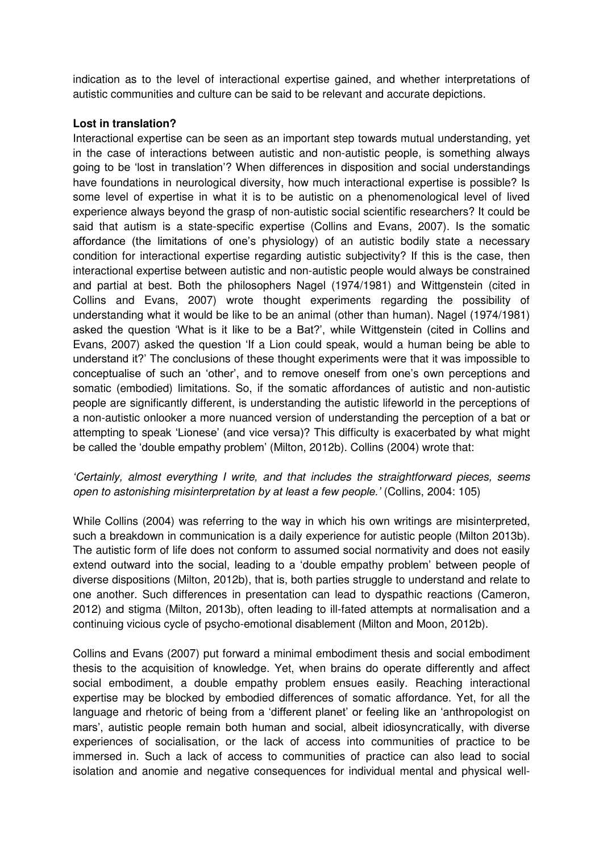indication as to the level of interactional expertise gained, and whether interpretations of autistic communities and culture can be said to be relevant and accurate depictions.

#### **Lost in translation?**

Interactional expertise can be seen as an important step towards mutual understanding, yet in the case of interactions between autistic and non-autistic people, is something always going to be 'lost in translation'? When differences in disposition and social understandings have foundations in neurological diversity, how much interactional expertise is possible? Is some level of expertise in what it is to be autistic on a phenomenological level of lived experience always beyond the grasp of non-autistic social scientific researchers? It could be said that autism is a state-specific expertise (Collins and Evans, 2007). Is the somatic affordance (the limitations of one's physiology) of an autistic bodily state a necessary condition for interactional expertise regarding autistic subjectivity? If this is the case, then interactional expertise between autistic and non-autistic people would always be constrained and partial at best. Both the philosophers Nagel (1974/1981) and Wittgenstein (cited in Collins and Evans, 2007) wrote thought experiments regarding the possibility of understanding what it would be like to be an animal (other than human). Nagel (1974/1981) asked the question 'What is it like to be a Bat?', while Wittgenstein (cited in Collins and Evans, 2007) asked the question 'If a Lion could speak, would a human being be able to understand it?' The conclusions of these thought experiments were that it was impossible to conceptualise of such an 'other', and to remove oneself from one's own perceptions and somatic (embodied) limitations. So, if the somatic affordances of autistic and non-autistic people are significantly different, is understanding the autistic lifeworld in the perceptions of a non-autistic onlooker a more nuanced version of understanding the perception of a bat or attempting to speak 'Lionese' (and vice versa)? This difficulty is exacerbated by what might be called the 'double empathy problem' (Milton, 2012b). Collins (2004) wrote that:

#### *'Certainly, almost everything I write, and that includes the straightforward pieces, seems open to astonishing misinterpretation by at least a few people.'* (Collins, 2004: 105)

While Collins (2004) was referring to the way in which his own writings are misinterpreted, such a breakdown in communication is a daily experience for autistic people (Milton 2013b). The autistic form of life does not conform to assumed social normativity and does not easily extend outward into the social, leading to a 'double empathy problem' between people of diverse dispositions (Milton, 2012b), that is, both parties struggle to understand and relate to one another. Such differences in presentation can lead to dyspathic reactions (Cameron, 2012) and stigma (Milton, 2013b), often leading to ill-fated attempts at normalisation and a continuing vicious cycle of psycho-emotional disablement (Milton and Moon, 2012b).

Collins and Evans (2007) put forward a minimal embodiment thesis and social embodiment thesis to the acquisition of knowledge. Yet, when brains do operate differently and affect social embodiment, a double empathy problem ensues easily. Reaching interactional expertise may be blocked by embodied differences of somatic affordance. Yet, for all the language and rhetoric of being from a 'different planet' or feeling like an 'anthropologist on mars', autistic people remain both human and social, albeit idiosyncratically, with diverse experiences of socialisation, or the lack of access into communities of practice to be immersed in. Such a lack of access to communities of practice can also lead to social isolation and anomie and negative consequences for individual mental and physical well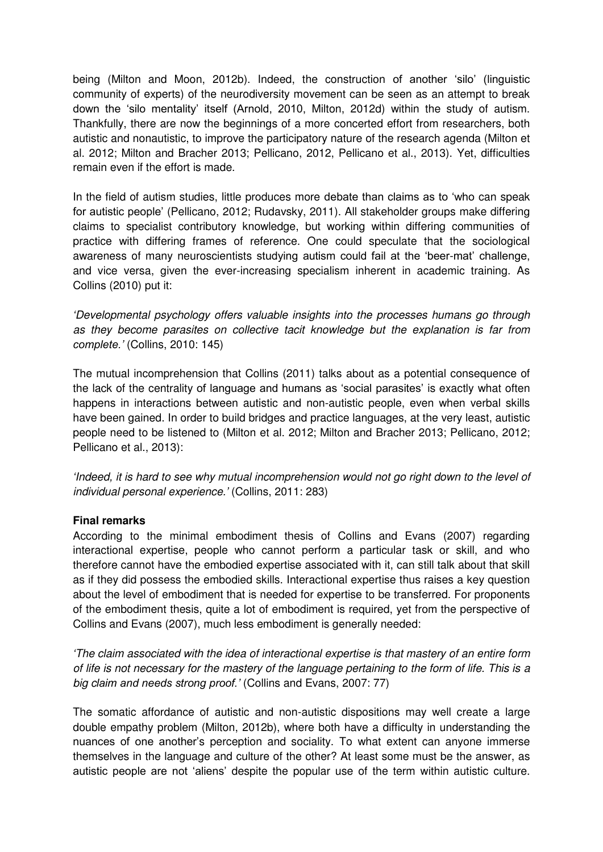being (Milton and Moon, 2012b). Indeed, the construction of another 'silo' (linguistic community of experts) of the neurodiversity movement can be seen as an attempt to break down the 'silo mentality' itself (Arnold, 2010, Milton, 2012d) within the study of autism. Thankfully, there are now the beginnings of a more concerted effort from researchers, both autistic and nonautistic, to improve the participatory nature of the research agenda (Milton et al. 2012; Milton and Bracher 2013; Pellicano, 2012, Pellicano et al., 2013). Yet, difficulties remain even if the effort is made.

In the field of autism studies, little produces more debate than claims as to 'who can speak for autistic people' (Pellicano, 2012; Rudavsky, 2011). All stakeholder groups make differing claims to specialist contributory knowledge, but working within differing communities of practice with differing frames of reference. One could speculate that the sociological awareness of many neuroscientists studying autism could fail at the 'beer-mat' challenge, and vice versa, given the ever-increasing specialism inherent in academic training. As Collins (2010) put it:

*'Developmental psychology offers valuable insights into the processes humans go through as they become parasites on collective tacit knowledge but the explanation is far from complete.'* (Collins, 2010: 145)

The mutual incomprehension that Collins (2011) talks about as a potential consequence of the lack of the centrality of language and humans as 'social parasites' is exactly what often happens in interactions between autistic and non-autistic people, even when verbal skills have been gained. In order to build bridges and practice languages, at the very least, autistic people need to be listened to (Milton et al. 2012; Milton and Bracher 2013; Pellicano, 2012; Pellicano et al., 2013):

*'Indeed, it is hard to see why mutual incomprehension would not go right down to the level of individual personal experience.'* (Collins, 2011: 283)

#### **Final remarks**

According to the minimal embodiment thesis of Collins and Evans (2007) regarding interactional expertise, people who cannot perform a particular task or skill, and who therefore cannot have the embodied expertise associated with it, can still talk about that skill as if they did possess the embodied skills. Interactional expertise thus raises a key question about the level of embodiment that is needed for expertise to be transferred. For proponents of the embodiment thesis, quite a lot of embodiment is required, yet from the perspective of Collins and Evans (2007), much less embodiment is generally needed:

*'The claim associated with the idea of interactional expertise is that mastery of an entire form of life is not necessary for the mastery of the language pertaining to the form of life. This is a big claim and needs strong proof.'* (Collins and Evans, 2007: 77)

The somatic affordance of autistic and non-autistic dispositions may well create a large double empathy problem (Milton, 2012b), where both have a difficulty in understanding the nuances of one another's perception and sociality. To what extent can anyone immerse themselves in the language and culture of the other? At least some must be the answer, as autistic people are not 'aliens' despite the popular use of the term within autistic culture.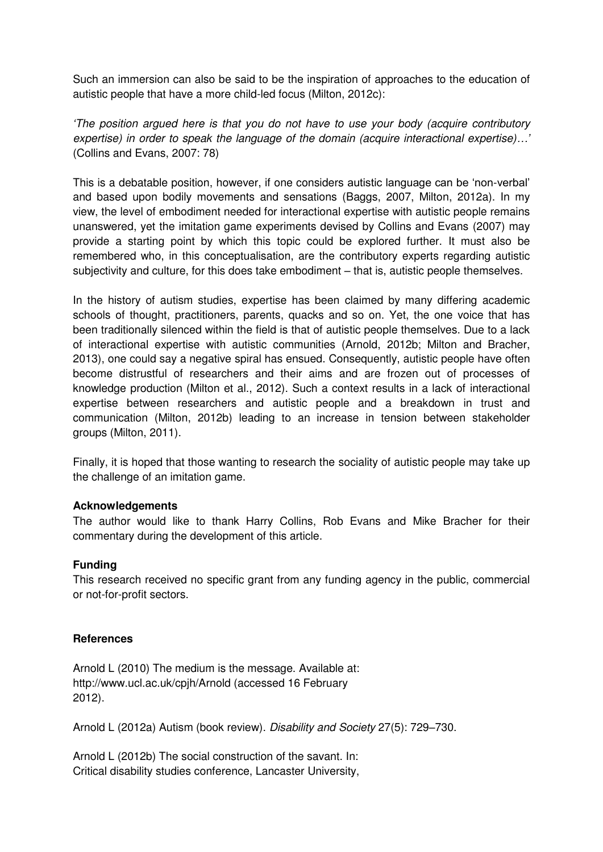Such an immersion can also be said to be the inspiration of approaches to the education of autistic people that have a more child-led focus (Milton, 2012c):

*'The position argued here is that you do not have to use your body (acquire contributory expertise) in order to speak the language of the domain (acquire interactional expertise)…'* (Collins and Evans, 2007: 78)

This is a debatable position, however, if one considers autistic language can be 'non-verbal' and based upon bodily movements and sensations (Baggs, 2007, Milton, 2012a). In my view, the level of embodiment needed for interactional expertise with autistic people remains unanswered, yet the imitation game experiments devised by Collins and Evans (2007) may provide a starting point by which this topic could be explored further. It must also be remembered who, in this conceptualisation, are the contributory experts regarding autistic subjectivity and culture, for this does take embodiment – that is, autistic people themselves.

In the history of autism studies, expertise has been claimed by many differing academic schools of thought, practitioners, parents, quacks and so on. Yet, the one voice that has been traditionally silenced within the field is that of autistic people themselves. Due to a lack of interactional expertise with autistic communities (Arnold, 2012b; Milton and Bracher, 2013), one could say a negative spiral has ensued. Consequently, autistic people have often become distrustful of researchers and their aims and are frozen out of processes of knowledge production (Milton et al., 2012). Such a context results in a lack of interactional expertise between researchers and autistic people and a breakdown in trust and communication (Milton, 2012b) leading to an increase in tension between stakeholder groups (Milton, 2011).

Finally, it is hoped that those wanting to research the sociality of autistic people may take up the challenge of an imitation game.

#### **Acknowledgements**

The author would like to thank Harry Collins, Rob Evans and Mike Bracher for their commentary during the development of this article.

#### **Funding**

This research received no specific grant from any funding agency in the public, commercial or not-for-profit sectors.

#### **References**

Arnold L (2010) The medium is the message. Available at: http://www.ucl.ac.uk/cpjh/Arnold (accessed 16 February 2012).

Arnold L (2012a) Autism (book review). *Disability and Society* 27(5): 729–730.

Arnold L (2012b) The social construction of the savant. In: Critical disability studies conference, Lancaster University,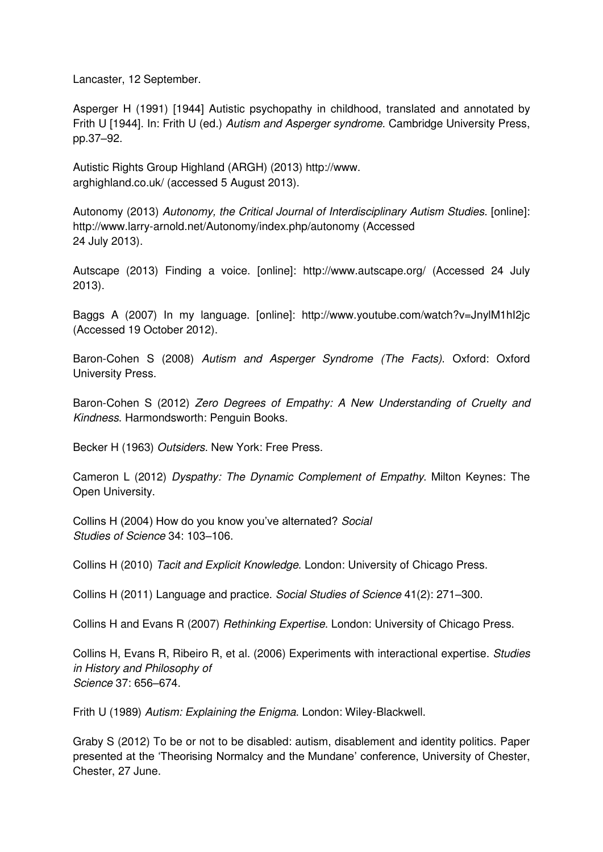Lancaster, 12 September.

Asperger H (1991) [1944] Autistic psychopathy in childhood, translated and annotated by Frith U [1944]. In: Frith U (ed.) *Autism and Asperger syndrome*. Cambridge University Press, pp.37–92.

Autistic Rights Group Highland (ARGH) (2013) http://www. arghighland.co.uk/ (accessed 5 August 2013).

Autonomy (2013) *Autonomy, the Critical Journal of Interdisciplinary Autism Studies*. [online]: http://www.larry-arnold.net/Autonomy/index.php/autonomy (Accessed 24 July 2013).

Autscape (2013) Finding a voice. [online]: http://www.autscape.org/ (Accessed 24 July 2013).

Baggs A (2007) In my language. [online]: http://www.youtube.com/watch?v=JnylM1hI2jc (Accessed 19 October 2012).

Baron-Cohen S (2008) *Autism and Asperger Syndrome (The Facts)*. Oxford: Oxford University Press.

Baron-Cohen S (2012) *Zero Degrees of Empathy: A New Understanding of Cruelty and Kindness*. Harmondsworth: Penguin Books.

Becker H (1963) *Outsiders*. New York: Free Press.

Cameron L (2012) *Dyspathy: The Dynamic Complement of Empathy*. Milton Keynes: The Open University.

Collins H (2004) How do you know you've alternated? *Social Studies of Science* 34: 103–106.

Collins H (2010) *Tacit and Explicit Knowledge*. London: University of Chicago Press.

Collins H (2011) Language and practice. *Social Studies of Science* 41(2): 271–300.

Collins H and Evans R (2007) *Rethinking Expertise*. London: University of Chicago Press.

Collins H, Evans R, Ribeiro R, et al. (2006) Experiments with interactional expertise. *Studies in History and Philosophy of Science* 37: 656–674.

Frith U (1989) *Autism: Explaining the Enigma*. London: Wiley-Blackwell.

Graby S (2012) To be or not to be disabled: autism, disablement and identity politics. Paper presented at the 'Theorising Normalcy and the Mundane' conference, University of Chester, Chester, 27 June.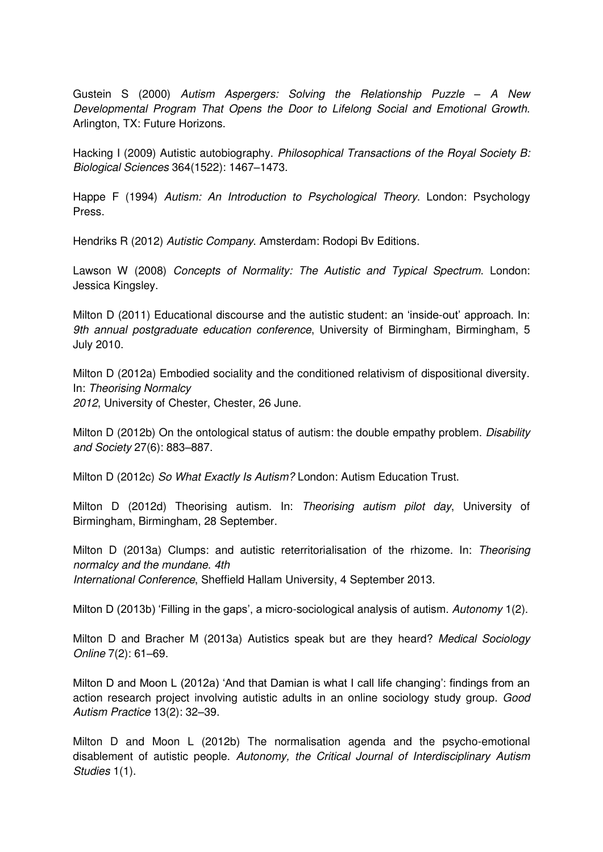Gustein S (2000) *Autism Aspergers: Solving the Relationship Puzzle - A New Developmental Program That Opens the Door to Lifelong Social and Emotional Growth*. Arlington, TX: Future Horizons.

Hacking I (2009) Autistic autobiography. *Philosophical Transactions of the Royal Society B: Biological Sciences* 364(1522): 1467–1473.

Happe F (1994) *Autism: An Introduction to Psychological Theory*. London: Psychology Press.

Hendriks R (2012) *Autistic Company*. Amsterdam: Rodopi Bv Editions.

Lawson W (2008) *Concepts of Normality: The Autistic and Typical Spectrum*. London: Jessica Kingsley.

Milton D (2011) Educational discourse and the autistic student: an 'inside-out' approach. In: *9th annual postgraduate education conference*, University of Birmingham, Birmingham, 5 July 2010.

Milton D (2012a) Embodied sociality and the conditioned relativism of dispositional diversity. In: *Theorising Normalcy*

*2012*, University of Chester, Chester, 26 June.

Milton D (2012b) On the ontological status of autism: the double empathy problem. *Disability and Society* 27(6): 883–887.

Milton D (2012c) *So What Exactly Is Autism?* London: Autism Education Trust.

Milton D (2012d) Theorising autism. In: *Theorising autism pilot day*, University of Birmingham, Birmingham, 28 September.

Milton D (2013a) Clumps: and autistic reterritorialisation of the rhizome. In: *Theorising normalcy and the mundane*. *4th International Conference*, Sheffield Hallam University, 4 September 2013.

Milton D (2013b) 'Filling in the gaps', a micro-sociological analysis of autism. *Autonomy* 1(2).

Milton D and Bracher M (2013a) Autistics speak but are they heard? *Medical Sociology Online* 7(2): 61–69.

Milton D and Moon L (2012a) 'And that Damian is what I call life changing': findings from an action research project involving autistic adults in an online sociology study group. *Good Autism Practice* 13(2): 32–39.

Milton D and Moon L (2012b) The normalisation agenda and the psycho-emotional disablement of autistic people. *Autonomy, the Critical Journal of Interdisciplinary Autism Studies* 1(1).